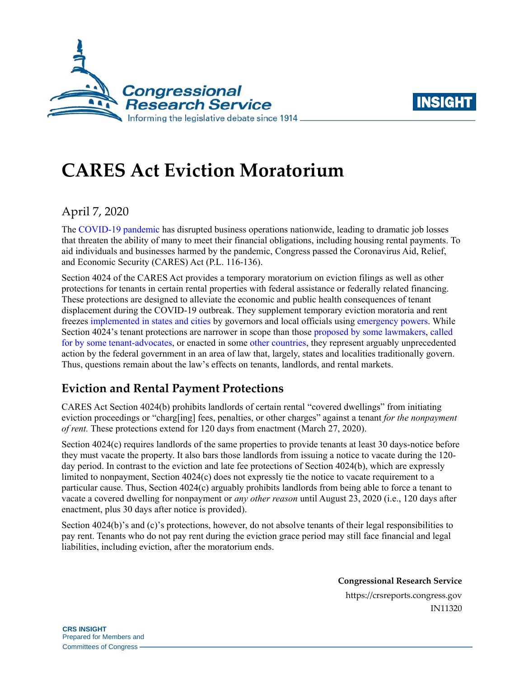



# **CARES Act Eviction Moratorium**

# April 7, 2020

The [COVID-19 pandemic](https://crsreports.congress.gov/product/pdf/IN/IN11253) has disrupted business operations nationwide, leading to dramatic job losses that threaten the ability of many to meet their financial obligations, including housing rental payments. To aid individuals and businesses harmed by the pandemic, Congress passed the Coronavirus Aid, Relief, and Economic Security (CARES) Act [\(P.L. 116-136\)](http://www.congress.gov/cgi-lis/bdquery/R?d116:FLD002:@1(116+136)).

Section 4024 of the CARES Act provides a temporary moratorium on eviction filings as well as other protections for tenants in certain rental properties with federal assistance or federally related financing. These protections are designed to alleviate the economic and public health consequences of tenant displacement during the COVID-19 outbreak. They supplement temporary eviction moratoria and rent freezes [implemented in states and cities](https://nlihc.org/eviction-and-foreclosure-moratoriums) by governors and local officials using [emergency powers.](https://crsreports.congress.gov/product/pdf/LSB/LSB10434) While Section 4024's tenant protections are narrower in scope than those [proposed by some lawmakers,](https://www.congress.gov/bill/116th-congress/house-bill/6379/text?q=%7B%22search%22%3A%22H.R.+6379%22%7D&r=1&s=1#H6C31EA200F324F739131DC0D936ABE75) [called](https://nlihc.org/responding-coronavirus)  [for by some tenant-advocates,](https://nlihc.org/responding-coronavirus) or enacted in some [other](https://www.gov.uk/guidance/government-support-available-for-landlords-and-renters-reflecting-the-current-coronavirus-covid-19-outbreak) [countries,](https://www.lamoncloa.gob.es/lang/en/gobierno/councilministers/Paginas/2020/20200331council.aspx) they represent arguably unprecedented action by the federal government in an area of law that, largely, states and localities traditionally govern. Thus, questions remain about the law's effects on tenants, landlords, and rental markets.

# **Eviction and Rental Payment Protections**

CARES Act Section 4024(b) prohibits landlords of certain rental "covered dwellings" from initiating eviction proceedings or "charg[ing] fees, penalties, or other charges" against a tenant *for the nonpayment of rent.* These protections extend for 120 days from enactment (March 27, 2020).

Section 4024(c) requires landlords of the same properties to provide tenants at least 30 days-notice before they must vacate the property. It also bars those landlords from issuing a notice to vacate during the 120 day period. In contrast to the eviction and late fee protections of Section 4024(b), which are expressly limited to nonpayment, Section 4024(c) does not expressly tie the notice to vacate requirement to a particular cause. Thus, Section 4024(c) arguably prohibits landlords from being able to force a tenant to vacate a covered dwelling for nonpayment or *any other reason* until August 23, 2020 (i.e., 120 days after enactment, plus 30 days after notice is provided).

Section 4024(b)'s and (c)'s protections, however, do not absolve tenants of their legal responsibilities to pay rent. Tenants who do not pay rent during the eviction grace period may still face financial and legal liabilities, including eviction, after the moratorium ends.

> **Congressional Research Service** https://crsreports.congress.gov IN11320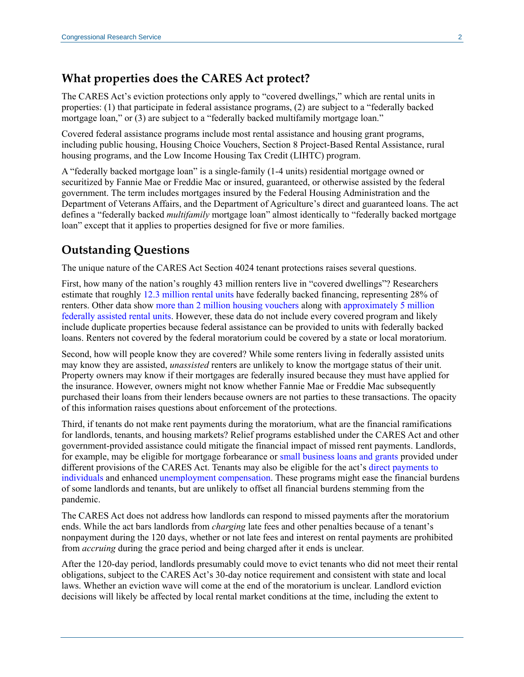#### **What properties does the CARES Act protect?**

The CARES Act's eviction protections only apply to "covered dwellings," which are rental units in properties: (1) that participate in federal assistance programs, (2) are subject to a "federally backed mortgage loan," or (3) are subject to a "federally backed multifamily mortgage loan."

Covered federal assistance programs include most rental assistance and housing grant programs, including public housing, Housing Choice Vouchers, Section 8 Project-Based Rental Assistance, rural housing programs, and the Low Income Housing Tax Credit (LIHTC) program.

A "federally backed mortgage loan" is a single-family (1-4 units) residential mortgage owned or securitized by Fannie Mae or Freddie Mac or insured, guaranteed, or otherwise assisted by the federal government. The term includes mortgages insured by the Federal Housing Administration and the Department of Veterans Affairs, and the Department of Agriculture's direct and guaranteed loans. The act defines a "federally backed *multifamily* mortgage loan" almost identically to "federally backed mortgage loan" except that it applies to properties designed for five or more families.

### **Outstanding Questions**

The unique nature of the CARES Act Section 4024 tenant protections raises several questions.

First, how many of the nation's roughly 43 million renters live in "covered dwellings"? Researchers estimate that roughly [12.3 million rental units](https://www.urban.org/urban-wire/cares-act-eviction-moratorium-covers-all-federally-financed-rentals-thats-one-four-us-rental-units) have federally backed financing, representing 28% of renters. Other data show more than 2 [million housing vouchers](https://www.huduser.gov/portal/datasets/assthsg.html) along with [approximately](https://preservationdatabase.org/reports/preservation-profiles/) 5 million federally [assisted rental](https://preservationdatabase.org/reports/preservation-profiles/) units. However, these data do not include every covered program and likely include duplicate properties because federal assistance can be provided to units with federally backed loans. Renters not covered by the federal moratorium could be covered by a state or local moratorium.

Second, how will people know they are covered? While some renters living in federally assisted units may know they are assisted, *unassisted* renters are unlikely to know the mortgage status of their unit. Property owners may know if their mortgages are federally insured because they must have applied for the insurance. However, owners might not know whether Fannie Mae or Freddie Mac subsequently purchased their loans from their lenders because owners are not parties to these transactions. The opacity of this information raises questions about enforcement of the protections.

Third, if tenants do not make rent payments during the moratorium, what are the financial ramifications for landlords, tenants, and housing markets? Relief programs established under the CARES Act and other government-provided assistance could mitigate the financial impact of missed rent payments. Landlords, for example, may be eligible for mortgage forbearance or [small business loans and grants](https://crsreports.congress.gov/product/pdf/R/R46284) provided under different provisions of the CARES Act. Tenants may also be eligible for the act's [direct payments to](https://crsreports.congress.gov/product/pdf/IN/IN11282)  [individuals](https://crsreports.congress.gov/product/pdf/IN/IN11282) and enhanced [unemployment compensation.](https://crsreports.congress.gov/product/pdf/IF/IF11475) These programs might ease the financial burdens of some landlords and tenants, but are unlikely to offset all financial burdens stemming from the pandemic.

The CARES Act does not address how landlords can respond to missed payments after the moratorium ends. While the act bars landlords from *charging* late fees and other penalties because of a tenant's nonpayment during the 120 days, whether or not late fees and interest on rental payments are prohibited from *accruing* during the grace period and being charged after it ends is unclear.

After the 120-day period, landlords presumably could move to evict tenants who did not meet their rental obligations, subject to the CARES Act's 30-day notice requirement and consistent with state and local laws. Whether an eviction wave will come at the end of the moratorium is unclear. Landlord eviction decisions will likely be affected by local rental market conditions at the time, including the extent to